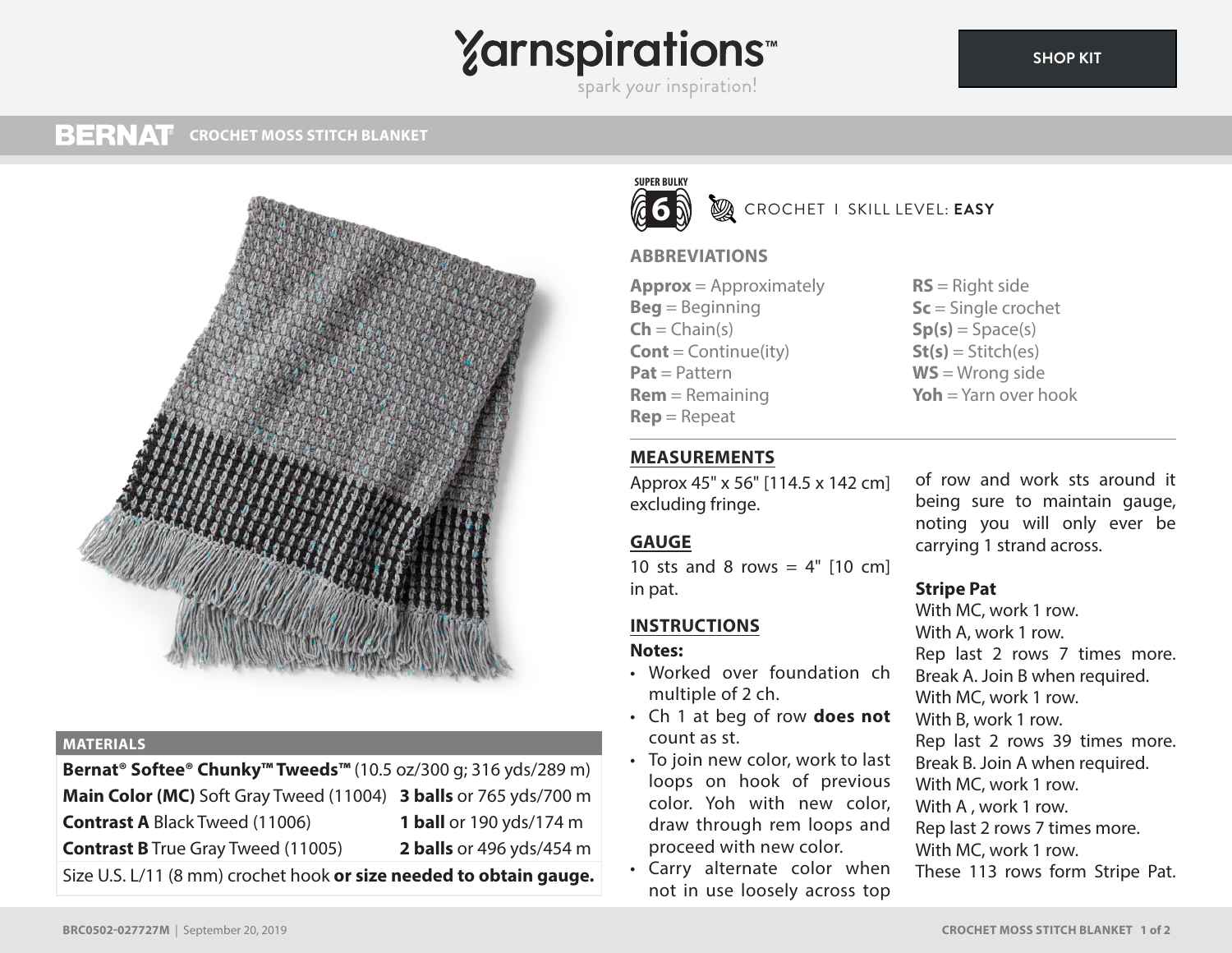# **Yarnspirations**

spark your inspiration!

#### **BERNAT CROCHET MOSS STITCH BLANKET**



### **MATERIALS**

**Bernat® Softee® Chunky™ Tweeds™** (10.5 oz/300 g; 316 yds/289 m) **Main Color (MC)** Soft Gray Tweed (11004) **3 balls** or 765 yds/700 m **Contrast A** Black Tweed (11006) **1 ball** or 190 yds/174 m **Contrast B** True Gray Tweed (11005) **2 balls** or 496 yds/454 m Size U.S. L/11 (8 mm) crochet hook **or size needed to obtain gauge.**

# **SUPER BULKY 6**

**B** CROCHET I SKILL LEVEL: **EASY** 

# **ABBREVIATIONS**

**Approx** = Approximately **Beg** = Beginning  $\mathsf{Ch} = \mathsf{Chain}(s)$ **Cont** = Continue(ity) **Pat** = Pattern **Rem** = Remaining **Rep** = Repeat

**RS** = Right side **Sc** = Single crochet  $Sp(s) = Space(s)$  $St(s) = Stitch(es)$ **WS** = Wrong side **Yoh** = Yarn over hook

# **MEASUREMENTS**

Approx 45" x 56" [114.5 x 142 cm] excluding fringe.

# **GAUGE**

10 sts and 8 rows =  $4"$  [10 cm] in pat.

# **INSTRUCTIONS**

## **Notes:**

- Worked over foundation ch multiple of 2 ch.
- Ch 1 at beg of row **does not** count as st.
- To join new color, work to last loops on hook of previous color. Yoh with new color, draw through rem loops and proceed with new color.
- Carry alternate color when not in use loosely across top

of row and work sts around it being sure to maintain gauge, noting you will only ever be carrying 1 strand across.

# **Stripe Pat**

With MC, work 1 row. With A, work 1 row. Rep last 2 rows 7 times more. Break A. Join B when required. With MC, work 1 row. With B, work 1 row. Rep last 2 rows 39 times more. Break B. Join A when required. With MC, work 1 row. With A , work 1 row. Rep last 2 rows 7 times more. With MC, work 1 row. These 113 rows form Stripe Pat.